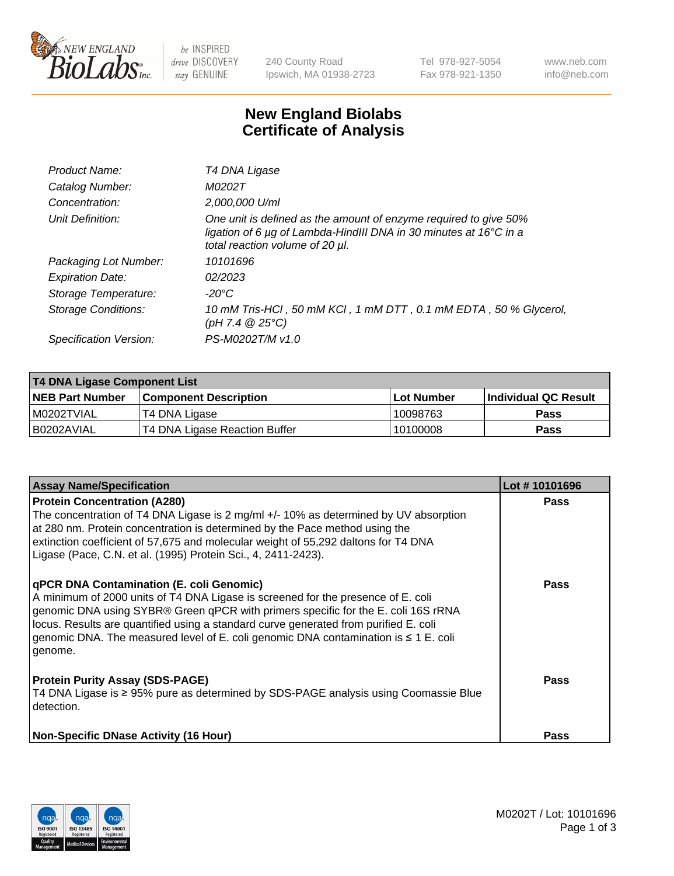

 $be$  INSPIRED drive DISCOVERY stay GENUINE

240 County Road Ipswich, MA 01938-2723 Tel 978-927-5054 Fax 978-921-1350 www.neb.com info@neb.com

## **New England Biolabs Certificate of Analysis**

| Product Name:              | T4 DNA Ligase                                                                                                                                                            |
|----------------------------|--------------------------------------------------------------------------------------------------------------------------------------------------------------------------|
| Catalog Number:            | M0202T                                                                                                                                                                   |
| Concentration:             | 2,000,000 U/ml                                                                                                                                                           |
| Unit Definition:           | One unit is defined as the amount of enzyme required to give 50%<br>ligation of 6 µg of Lambda-HindIII DNA in 30 minutes at 16°C in a<br>total reaction volume of 20 µl. |
| Packaging Lot Number:      | 10101696                                                                                                                                                                 |
| <b>Expiration Date:</b>    | 02/2023                                                                                                                                                                  |
| Storage Temperature:       | $-20^{\circ}$ C                                                                                                                                                          |
| <b>Storage Conditions:</b> | 10 mM Tris-HCl, 50 mM KCl, 1 mM DTT, 0.1 mM EDTA, 50 % Glycerol,<br>(pH 7.4 $@25°C$ )                                                                                    |
| Specification Version:     | PS-M0202T/M v1.0                                                                                                                                                         |

| <b>T4 DNA Ligase Component List</b> |                               |            |                             |  |
|-------------------------------------|-------------------------------|------------|-----------------------------|--|
| <b>NEB Part Number</b>              | <b>Component Description</b>  | Lot Number | <b>Individual QC Result</b> |  |
| I M0202TVIAL                        | T4 DNA Ligase                 | 10098763   | <b>Pass</b>                 |  |
| I B0202AVIAL                        | T4 DNA Ligase Reaction Buffer | 10100008   | <b>Pass</b>                 |  |

| <b>Assay Name/Specification</b>                                                                                                                                                                                                                                                                                                                                                                                         | Lot #10101696 |
|-------------------------------------------------------------------------------------------------------------------------------------------------------------------------------------------------------------------------------------------------------------------------------------------------------------------------------------------------------------------------------------------------------------------------|---------------|
| <b>Protein Concentration (A280)</b><br>The concentration of T4 DNA Ligase is 2 mg/ml +/- 10% as determined by UV absorption<br>at 280 nm. Protein concentration is determined by the Pace method using the<br>extinction coefficient of 57,675 and molecular weight of 55,292 daltons for T4 DNA<br>Ligase (Pace, C.N. et al. (1995) Protein Sci., 4, 2411-2423).                                                       | <b>Pass</b>   |
| <b>qPCR DNA Contamination (E. coli Genomic)</b><br>A minimum of 2000 units of T4 DNA Ligase is screened for the presence of E. coli<br>genomic DNA using SYBR® Green qPCR with primers specific for the E. coli 16S rRNA<br>locus. Results are quantified using a standard curve generated from purified E. coli<br>genomic DNA. The measured level of E. coli genomic DNA contamination is $\leq 1$ E. coli<br>genome. | Pass          |
| <b>Protein Purity Assay (SDS-PAGE)</b><br>T4 DNA Ligase is ≥ 95% pure as determined by SDS-PAGE analysis using Coomassie Blue<br>I detection.                                                                                                                                                                                                                                                                           | <b>Pass</b>   |
| <b>Non-Specific DNase Activity (16 Hour)</b>                                                                                                                                                                                                                                                                                                                                                                            | <b>Pass</b>   |

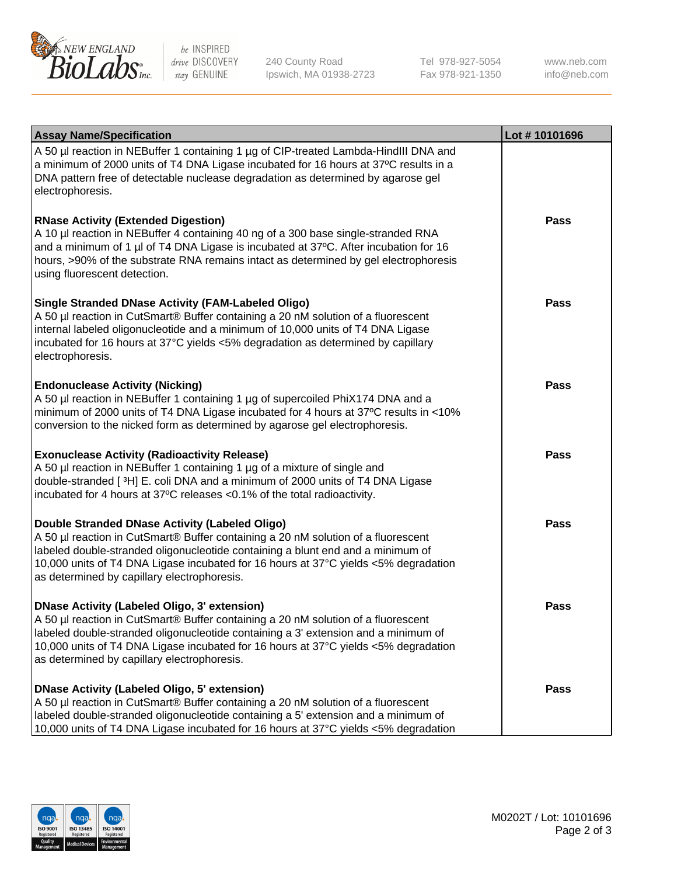

be INSPIRED drive DISCOVERY stay GENUINE

240 County Road Ipswich, MA 01938-2723 Tel 978-927-5054 Fax 978-921-1350

www.neb.com info@neb.com

| <b>Assay Name/Specification</b>                                                                                                                                                                                                                                                                                                                                      | Lot #10101696 |
|----------------------------------------------------------------------------------------------------------------------------------------------------------------------------------------------------------------------------------------------------------------------------------------------------------------------------------------------------------------------|---------------|
| A 50 µl reaction in NEBuffer 1 containing 1 µg of CIP-treated Lambda-HindIII DNA and<br>a minimum of 2000 units of T4 DNA Ligase incubated for 16 hours at 37°C results in a<br>DNA pattern free of detectable nuclease degradation as determined by agarose gel<br>electrophoresis.                                                                                 |               |
| <b>RNase Activity (Extended Digestion)</b><br>A 10 µl reaction in NEBuffer 4 containing 40 ng of a 300 base single-stranded RNA<br>and a minimum of 1 µl of T4 DNA Ligase is incubated at 37°C. After incubation for 16<br>hours, >90% of the substrate RNA remains intact as determined by gel electrophoresis<br>using fluorescent detection.                      | <b>Pass</b>   |
| <b>Single Stranded DNase Activity (FAM-Labeled Oligo)</b><br>A 50 µl reaction in CutSmart® Buffer containing a 20 nM solution of a fluorescent<br>internal labeled oligonucleotide and a minimum of 10,000 units of T4 DNA Ligase<br>incubated for 16 hours at 37°C yields <5% degradation as determined by capillary<br>electrophoresis.                            | <b>Pass</b>   |
| <b>Endonuclease Activity (Nicking)</b><br>A 50 µl reaction in NEBuffer 1 containing 1 µg of supercoiled PhiX174 DNA and a<br>minimum of 2000 units of T4 DNA Ligase incubated for 4 hours at 37°C results in <10%<br>conversion to the nicked form as determined by agarose gel electrophoresis.                                                                     | <b>Pass</b>   |
| <b>Exonuclease Activity (Radioactivity Release)</b><br>A 50 µl reaction in NEBuffer 1 containing 1 µg of a mixture of single and<br>double-stranded [3H] E. coli DNA and a minimum of 2000 units of T4 DNA Ligase<br>incubated for 4 hours at 37°C releases <0.1% of the total radioactivity.                                                                        | <b>Pass</b>   |
| Double Stranded DNase Activity (Labeled Oligo)<br>A 50 µl reaction in CutSmart® Buffer containing a 20 nM solution of a fluorescent<br>labeled double-stranded oligonucleotide containing a blunt end and a minimum of<br>10,000 units of T4 DNA Ligase incubated for 16 hours at 37°C yields <5% degradation<br>as determined by capillary electrophoresis.         | <b>Pass</b>   |
| <b>DNase Activity (Labeled Oligo, 3' extension)</b><br>A 50 µl reaction in CutSmart® Buffer containing a 20 nM solution of a fluorescent<br>labeled double-stranded oligonucleotide containing a 3' extension and a minimum of<br>10,000 units of T4 DNA Ligase incubated for 16 hours at 37°C yields <5% degradation<br>as determined by capillary electrophoresis. | Pass          |
| <b>DNase Activity (Labeled Oligo, 5' extension)</b><br>A 50 µl reaction in CutSmart® Buffer containing a 20 nM solution of a fluorescent<br>labeled double-stranded oligonucleotide containing a 5' extension and a minimum of<br>10,000 units of T4 DNA Ligase incubated for 16 hours at 37°C yields <5% degradation                                                | Pass          |